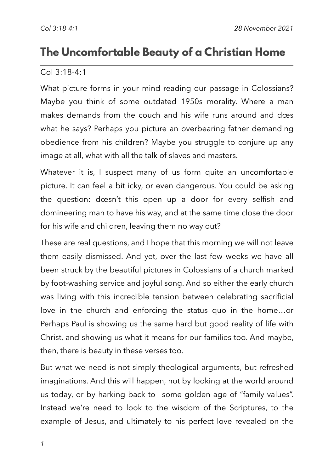# **The Uncomfortable Beauty of a Christian Home**

#### Col 3:18-4:1

What picture forms in your mind reading our passage in Colossians? Maybe you think of some outdated 1950s morality. Where a man makes demands from the couch and his wife runs around and does what he says? Perhaps you picture an overbearing father demanding obedience from his children? Maybe you struggle to conjure up any image at all, what with all the talk of slaves and masters.

Whatever it is, I suspect many of us form quite an uncomfortable picture. It can feel a bit icky, or even dangerous. You could be asking the question: doesn't this open up a door for every selfish and domineering man to have his way, and at the same time close the door for his wife and children, leaving them no way out?

These are real questions, and I hope that this morning we will not leave them easily dismissed. And yet, over the last few weeks we have all been struck by the beautiful pictures in Colossians of a church marked by foot-washing service and joyful song. And so either the early church was living with this incredible tension between celebrating sacrificial love in the church and enforcing the status quo in the home…or Perhaps Paul is showing us the same hard but good reality of life with Christ, and showing us what it means for our families too. And maybe, then, there is beauty in these verses too.

But what we need is not simply theological arguments, but refreshed imaginations. And this will happen, not by looking at the world around us today, or by harking back to some golden age of "family values". Instead we're need to look to the wisdom of the Scriptures, to the example of Jesus, and ultimately to his perfect love revealed on the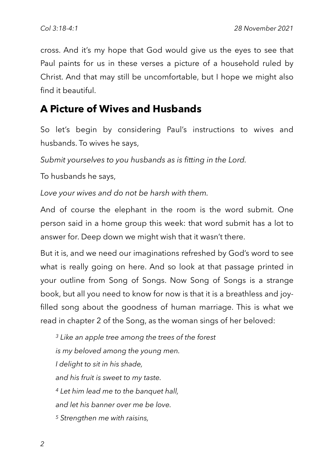cross. And it's my hope that God would give us the eyes to see that Paul paints for us in these verses a picture of a household ruled by Christ. And that may still be uncomfortable, but I hope we might also find it beautiful.

## **A Picture of Wives and Husbands**

So let's begin by considering Paul's instructions to wives and husbands. To wives he says,

*Submit yourselves to you husbands as is fitting in the Lord.*

To husbands he says,

*Love your wives and do not be harsh with them.*

And of course the elephant in the room is the word submit. One person said in a home group this week: that word submit has a lot to answer for. Deep down we might wish that it wasn't there.

But it is, and we need our imaginations refreshed by God's word to see what is really going on here. And so look at that passage printed in your outline from Song of Songs. Now Song of Songs is a strange book, but all you need to know for now is that it is a breathless and joyfilled song about the goodness of human marriage. This is what we read in chapter 2 of the Song, as the woman sings of her beloved:

*3 Like an apple tree among the trees of the forest is my beloved among the young men. I delight to sit in his shade, and his fruit is sweet to my taste. <sup>4</sup> Let him lead me to the banquet hall, and let his banner over me be love. <sup>5</sup> Strengthen me with raisins,*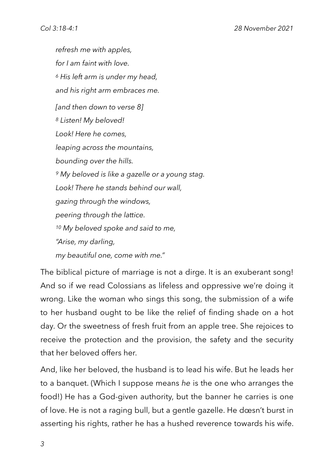*refresh me with apples, for I am faint with love. <sup>6</sup> His left arm is under my head, and his right arm embraces me. [and then down to verse 8] <sup>8</sup> Listen! My beloved! Look! Here he comes, leaping across the mountains, bounding over the hills. <sup>9</sup> My beloved is like a gazelle or a young stag. Look! There he stands behind our wall, gazing through the windows, peering through the lattice. <sup>10</sup> My beloved spoke and said to me, "Arise, my darling, my beautiful one, come with me."*

The biblical picture of marriage is not a dirge. It is an exuberant song! And so if we read Colossians as lifeless and oppressive we're doing it wrong. Like the woman who sings this song, the submission of a wife to her husband ought to be like the relief of finding shade on a hot day. Or the sweetness of fresh fruit from an apple tree. She rejoices to receive the protection and the provision, the safety and the security that her beloved offers her.

And, like her beloved, the husband is to lead his wife. But he leads her to a banquet. (Which I suppose means *he* is the one who arranges the food!) He has a God-given authority, but the banner he carries is one of love. He is not a raging bull, but a gentle gazelle. He doesn't burst in asserting his rights, rather he has a hushed reverence towards his wife.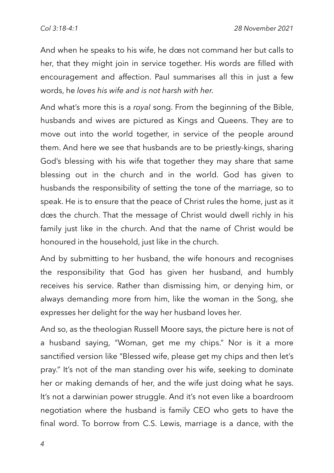And when he speaks to his wife, he does not command her but calls to her, that they might join in service together. His words are filled with encouragement and affection. Paul summarises all this in just a few words, he *loves his wife and is not harsh with her.*

And what's more this is a *royal* song. From the beginning of the Bible, husbands and wives are pictured as Kings and Queens. They are to move out into the world together, in service of the people around them. And here we see that husbands are to be priestly-kings, sharing God's blessing with his wife that together they may share that same blessing out in the church and in the world. God has given to husbands the responsibility of setting the tone of the marriage, so to speak. He is to ensure that the peace of Christ rules the home, just as it does the church. That the message of Christ would dwell richly in his family just like in the church. And that the name of Christ would be honoured in the household, just like in the church.

And by submitting to her husband, the wife honours and recognises the responsibility that God has given her husband, and humbly receives his service. Rather than dismissing him, or denying him, or always demanding more from him, like the woman in the Song, she expresses her delight for the way her husband loves her.

And so, as the theologian Russell Moore says, the picture here is not of a husband saying, "Woman, get me my chips." Nor is it a more sanctified version like "Blessed wife, please get my chips and then let's pray." It's not of the man standing over his wife, seeking to dominate her or making demands of her, and the wife just doing what he says. It's not a darwinian power struggle. And it's not even like a boardroom negotiation where the husband is family CEO who gets to have the final word. To borrow from C.S. Lewis, marriage is a dance, with the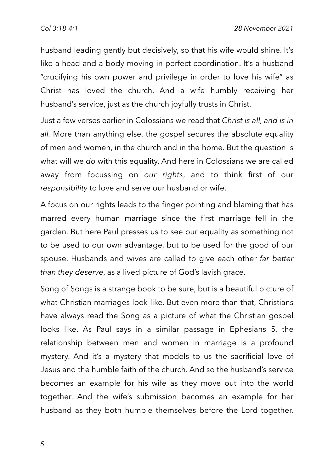husband leading gently but decisively, so that his wife would shine. It's like a head and a body moving in perfect coordination. It's a husband "crucifying his own power and privilege in order to love his wife" as Christ has loved the church. And a wife humbly receiving her husband's service, just as the church joyfully trusts in Christ.

Just a few verses earlier in Colossians we read that *Christ is all, and is in all.* More than anything else, the gospel secures the absolute equality of men and women, in the church and in the home. But the question is what will we *do* with this equality. And here in Colossians we are called away from focussing on *our rights*, and to think first of our *responsibility* to love and serve our husband or wife.

A focus on our rights leads to the finger pointing and blaming that has marred every human marriage since the first marriage fell in the garden. But here Paul presses us to see our equality as something not to be used to our own advantage, but to be used for the good of our spouse. Husbands and wives are called to give each other *far better than they deserve*, as a lived picture of God's lavish grace.

Song of Songs is a strange book to be sure, but is a beautiful picture of what Christian marriages look like. But even more than that, Christians have always read the Song as a picture of what the Christian gospel looks like. As Paul says in a similar passage in Ephesians 5, the relationship between men and women in marriage is a profound mystery. And it's a mystery that models to us the sacrificial love of Jesus and the humble faith of the church. And so the husband's service becomes an example for his wife as they move out into the world together. And the wife's submission becomes an example for her husband as they both humble themselves before the Lord together.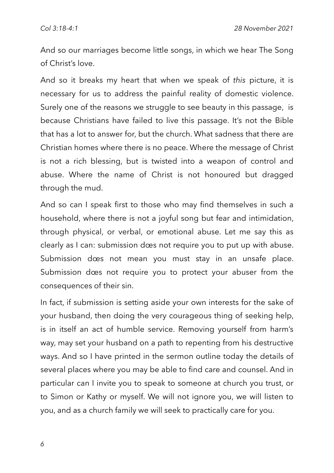And so our marriages become little songs, in which we hear The Song of Christ's love.

And so it breaks my heart that when we speak of *this* picture, it is necessary for us to address the painful reality of domestic violence. Surely one of the reasons we struggle to see beauty in this passage, is because Christians have failed to live this passage. It's not the Bible that has a lot to answer for, but the church. What sadness that there are Christian homes where there is no peace. Where the message of Christ is not a rich blessing, but is twisted into a weapon of control and abuse. Where the name of Christ is not honoured but dragged through the mud.

And so can I speak first to those who may find themselves in such a household, where there is not a joyful song but fear and intimidation, through physical, or verbal, or emotional abuse. Let me say this as clearly as I can: submission does not require you to put up with abuse. Submission does not mean you must stay in an unsafe place. Submission does not require you to protect your abuser from the consequences of their sin.

In fact, if submission is setting aside your own interests for the sake of your husband, then doing the very courageous thing of seeking help, is in itself an act of humble service. Removing yourself from harm's way, may set your husband on a path to repenting from his destructive ways. And so I have printed in the sermon outline today the details of several places where you may be able to find care and counsel. And in particular can I invite you to speak to someone at church you trust, or to Simon or Kathy or myself. We will not ignore you, we will listen to you, and as a church family we will seek to practically care for you.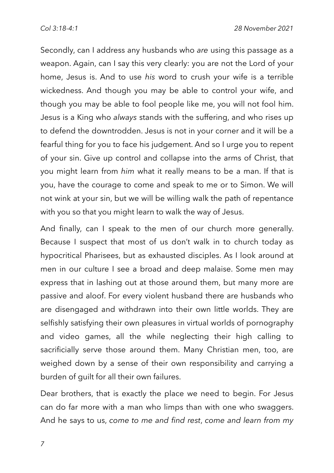Secondly, can I address any husbands who *are* using this passage as a weapon. Again, can I say this very clearly: you are not the Lord of your home, Jesus is. And to use *his* word to crush your wife is a terrible wickedness. And though you may be able to control your wife, and though you may be able to fool people like me, you will not fool him. Jesus is a King who *always* stands with the suffering, and who rises up to defend the downtrodden. Jesus is not in your corner and it will be a fearful thing for you to face his judgement. And so I urge you to repent of your sin. Give up control and collapse into the arms of Christ, that you might learn from *him* what it really means to be a man. If that is you, have the courage to come and speak to me or to Simon. We will not wink at your sin, but we will be willing walk the path of repentance with you so that you might learn to walk the way of Jesus.

And finally, can I speak to the men of our church more generally. Because I suspect that most of us don't walk in to church today as hypocritical Pharisees, but as exhausted disciples. As I look around at men in our culture I see a broad and deep malaise. Some men may express that in lashing out at those around them, but many more are passive and aloof. For every violent husband there are husbands who are disengaged and withdrawn into their own little worlds. They are selfishly satisfying their own pleasures in virtual worlds of pornography and video games, all the while neglecting their high calling to sacrificially serve those around them. Many Christian men, too, are weighed down by a sense of their own responsibility and carrying a burden of guilt for all their own failures.

Dear brothers, that is exactly the place we need to begin. For Jesus can do far more with a man who limps than with one who swaggers. And he says to us, *come to me and find rest*, *come and learn from my*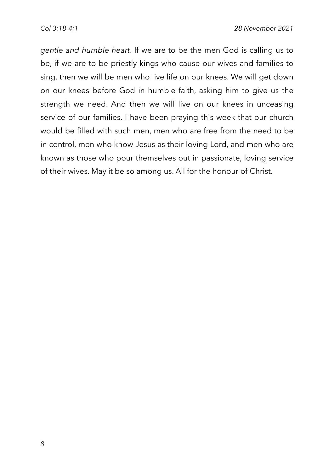*gentle and humble heart*. If we are to be the men God is calling us to be, if we are to be priestly kings who cause our wives and families to sing, then we will be men who live life on our knees. We will get down on our knees before God in humble faith, asking him to give us the strength we need. And then we will live on our knees in unceasing service of our families. I have been praying this week that our church would be filled with such men, men who are free from the need to be in control, men who know Jesus as their loving Lord, and men who are known as those who pour themselves out in passionate, loving service of their wives. May it be so among us. All for the honour of Christ.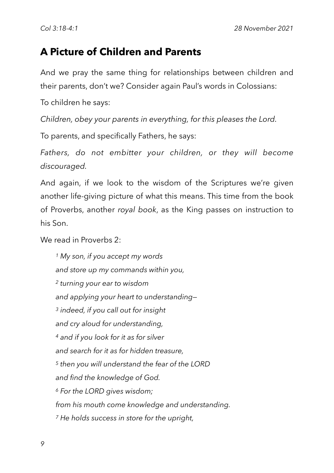## **A Picture of Children and Parents**

And we pray the same thing for relationships between children and their parents, don't we? Consider again Paul's words in Colossians:

To children he says:

*Children, obey your parents in everything, for this pleases the Lord.*

To parents, and specifically Fathers, he says:

Fathers, do not embitter your children, or they will become *discouraged.*

And again, if we look to the wisdom of the Scriptures we're given another life-giving picture of what this means. This time from the book of Proverbs, another *royal book*, as the King passes on instruction to his Son.

We read in Proverbs 2:

*<sup>1</sup> My son, if you accept my words and store up my commands within you, <sup>2</sup> turning your ear to wisdom and applying your heart to understanding— <sup>3</sup> indeed, if you call out for insight and cry aloud for understanding, <sup>4</sup> and if you look for it as for silver and search for it as for hidden treasure, <sup>5</sup> then you will understand the fear of the LORD and find the knowledge of God. <sup>6</sup> For the LORD gives wisdom; from his mouth come knowledge and understanding. <sup>7</sup> He holds success in store for the upright,*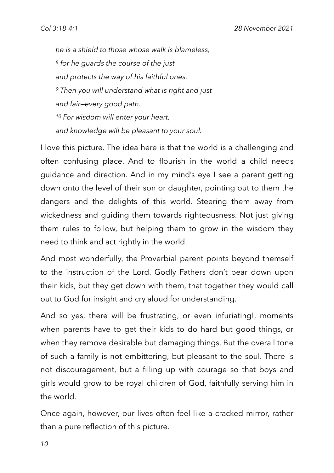*he is a shield to those whose walk is blameless, <sup>8</sup> for he guards the course of the just and protects the way of his faithful ones. <sup>9</sup> Then you will understand what is right and just and fair—every good path. <sup>10</sup> For wisdom will enter your heart, and knowledge will be pleasant to your soul.*

I love this picture. The idea here is that the world is a challenging and often confusing place. And to flourish in the world a child needs guidance and direction. And in my mind's eye I see a parent getting down onto the level of their son or daughter, pointing out to them the dangers and the delights of this world. Steering them away from wickedness and guiding them towards righteousness. Not just giving them rules to follow, but helping them to grow in the wisdom they need to think and act rightly in the world.

And most wonderfully, the Proverbial parent points beyond themself to the instruction of the Lord. Godly Fathers don't bear down upon their kids, but they get down with them, that together they would call out to God for insight and cry aloud for understanding.

And so yes, there will be frustrating, or even infuriating!, moments when parents have to get their kids to do hard but good things, or when they remove desirable but damaging things. But the overall tone of such a family is not embittering, but pleasant to the soul. There is not discouragement, but a filling up with courage so that boys and girls would grow to be royal children of God, faithfully serving him in the world.

Once again, however, our lives often feel like a cracked mirror, rather than a pure reflection of this picture.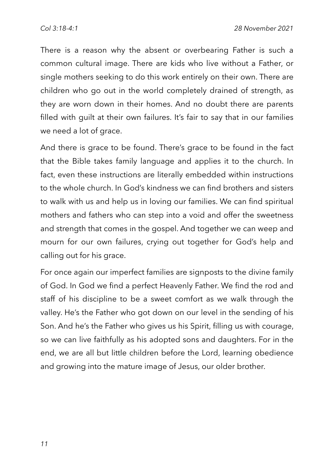There is a reason why the absent or overbearing Father is such a common cultural image. There are kids who live without a Father, or single mothers seeking to do this work entirely on their own. There are children who go out in the world completely drained of strength, as they are worn down in their homes. And no doubt there are parents filled with guilt at their own failures. It's fair to say that in our families we need a lot of grace.

And there is grace to be found. There's grace to be found in the fact that the Bible takes family language and applies it to the church. In fact, even these instructions are literally embedded within instructions to the whole church. In God's kindness we can find brothers and sisters to walk with us and help us in loving our families. We can find spiritual mothers and fathers who can step into a void and offer the sweetness and strength that comes in the gospel. And together we can weep and mourn for our own failures, crying out together for God's help and calling out for his grace.

For once again our imperfect families are signposts to the divine family of God. In God we find a perfect Heavenly Father. We find the rod and staff of his discipline to be a sweet comfort as we walk through the valley. He's the Father who got down on our level in the sending of his Son. And he's the Father who gives us his Spirit, filling us with courage, so we can live faithfully as his adopted sons and daughters. For in the end, we are all but little children before the Lord, learning obedience and growing into the mature image of Jesus, our older brother.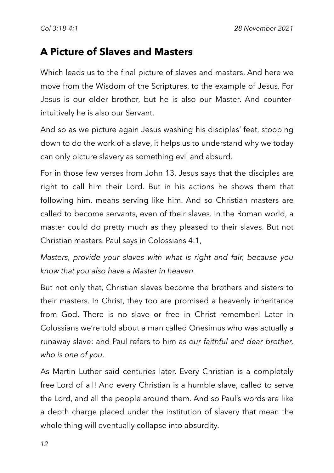### **A Picture of Slaves and Masters**

Which leads us to the final picture of slaves and masters. And here we move from the Wisdom of the Scriptures, to the example of Jesus. For Jesus is our older brother, but he is also our Master. And counterintuitively he is also our Servant.

And so as we picture again Jesus washing his disciples' feet, stooping down to do the work of a slave, it helps us to understand why we today can only picture slavery as something evil and absurd.

For in those few verses from John 13, Jesus says that the disciples are right to call him their Lord. But in his actions he shows them that following him, means serving like him. And so Christian masters are called to become servants, even of their slaves. In the Roman world, a master could do pretty much as they pleased to their slaves. But not Christian masters. Paul says in Colossians 4:1,

*Masters, provide your slaves with what is right and fair, because you know that you also have a Master in heaven.*

But not only that, Christian slaves become the brothers and sisters to their masters. In Christ, they too are promised a heavenly inheritance from God. There is no slave or free in Christ remember! Later in Colossians we're told about a man called Onesimus who was actually a runaway slave: and Paul refers to him as *our faithful and dear brother, who is one of you*.

As Martin Luther said centuries later. Every Christian is a completely free Lord of all! And every Christian is a humble slave, called to serve the Lord, and all the people around them. And so Paul's words are like a depth charge placed under the institution of slavery that mean the whole thing will eventually collapse into absurdity.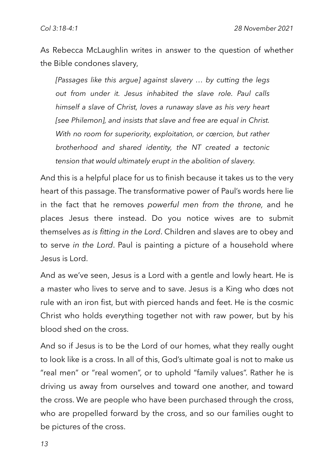As Rebecca McLaughlin writes in answer to the question of whether the Bible condones slavery,

*[Passages like this argue] against slavery … by cutting the legs out from under it. Jesus inhabited the slave role. Paul calls himself a slave of Christ, loves a runaway slave as his very heart [see Philemon], and insists that slave and free are equal in Christ.*  With no room for superiority, exploitation, or cœrcion, but rather *brotherhood and shared identity, the NT created a tectonic tension that would ultimately erupt in the abolition of slavery.* 

And this is a helpful place for us to finish because it takes us to the very heart of this passage. The transformative power of Paul's words here lie in the fact that he removes *powerful men from the throne,* and he places Jesus there instead. Do you notice wives are to submit themselves *as is fitting in the Lord*. Children and slaves are to obey and to serve *in the Lord*. Paul is painting a picture of a household where Jesus is Lord.

And as we've seen, Jesus is a Lord with a gentle and lowly heart. He is a master who lives to serve and to save. Jesus is a King who does not rule with an iron fist, but with pierced hands and feet. He is the cosmic Christ who holds everything together not with raw power, but by his blood shed on the cross.

And so if Jesus is to be the Lord of our homes, what they really ought to look like is a cross. In all of this, God's ultimate goal is not to make us "real men" or "real women", or to uphold "family values". Rather he is driving us away from ourselves and toward one another, and toward the cross. We are people who have been purchased through the cross, who are propelled forward by the cross, and so our families ought to be pictures of the cross.